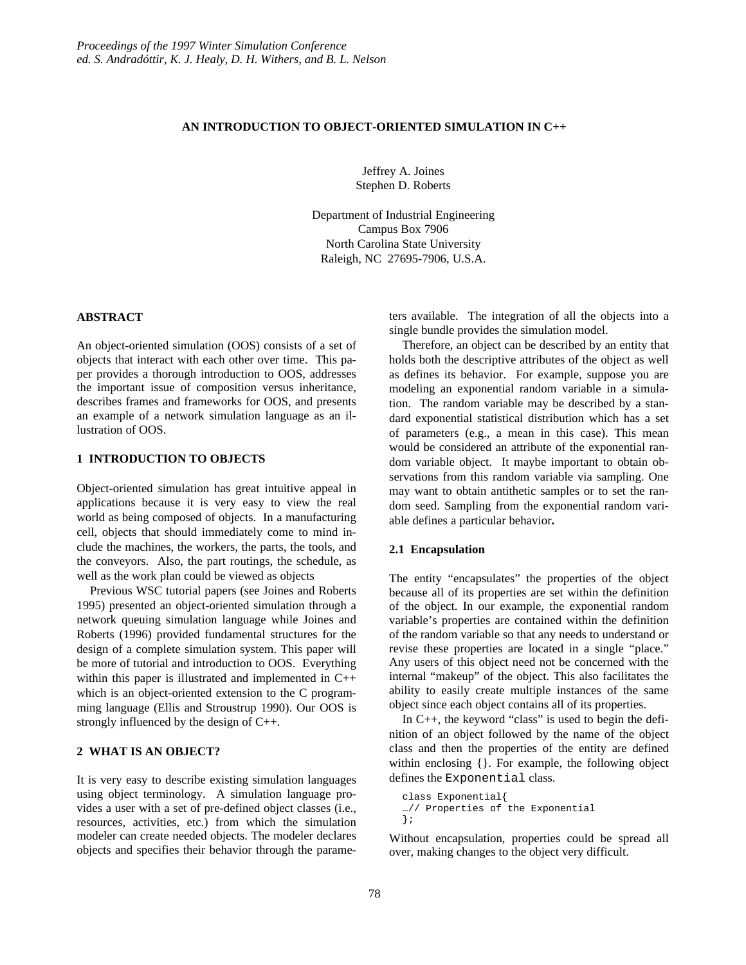# **AN INTRODUCTION TO OBJECT-ORIENTED SIMULATION IN C++**

Jeffrey A. Joines Stephen D. Roberts

Department of Industrial Engineering Campus Box 7906 North Carolina State University Raleigh, NC 27695-7906, U.S.A.

### **ABSTRACT**

An object-oriented simulation (OOS) consists of a set of objects that interact with each other over time. This paper provides a thorough introduction to OOS, addresses the important issue of composition versus inheritance, describes frames and frameworks for OOS, and presents an example of a network simulation language as an illustration of OOS.

## **1 INTRODUCTION TO OBJECTS**

Object-oriented simulation has great intuitive appeal in applications because it is very easy to view the real world as being composed of objects. In a manufacturing cell, objects that should immediately come to mind include the machines, the workers, the parts, the tools, and the conveyors. Also, the part routings, the schedule, as well as the work plan could be viewed as objects

Previous WSC tutorial papers (see Joines and Roberts 1995) presented an object-oriented simulation through a network queuing simulation language while Joines and Roberts (1996) provided fundamental structures for the design of a complete simulation system. This paper will be more of tutorial and introduction to OOS. Everything within this paper is illustrated and implemented in C++ which is an object-oriented extension to the C programming language (Ellis and Stroustrup 1990). Our OOS is strongly influenced by the design of C++.

## **2 WHAT IS AN OBJECT?**

It is very easy to describe existing simulation languages using object terminology. A simulation language provides a user with a set of pre-defined object classes (i.e., resources, activities, etc.) from which the simulation modeler can create needed objects. The modeler declares objects and specifies their behavior through the parameters available. The integration of all the objects into a single bundle provides the simulation model.

Therefore, an object can be described by an entity that holds both the descriptive attributes of the object as well as defines its behavior. For example, suppose you are modeling an exponential random variable in a simulation. The random variable may be described by a standard exponential statistical distribution which has a set of parameters (e.g., a mean in this case). This mean would be considered an attribute of the exponential random variable object. It maybe important to obtain observations from this random variable via sampling. One may want to obtain antithetic samples or to set the random seed. Sampling from the exponential random variable defines a particular behavior**.**

## **2.1 Encapsulation**

The entity "encapsulates" the properties of the object because all of its properties are set within the definition of the object. In our example, the exponential random variable's properties are contained within the definition of the random variable so that any needs to understand or revise these properties are located in a single "place." Any users of this object need not be concerned with the internal "makeup" of the object. This also facilitates the ability to easily create multiple instances of the same object since each object contains all of its properties.

In  $C_{++}$ , the keyword "class" is used to begin the definition of an object followed by the name of the object class and then the properties of the entity are defined within enclosing {}. For example, the following object defines the Exponential class.

```
class Exponential{
…// Properties of the Exponential
};
```
Without encapsulation, properties could be spread all over, making changes to the object very difficult.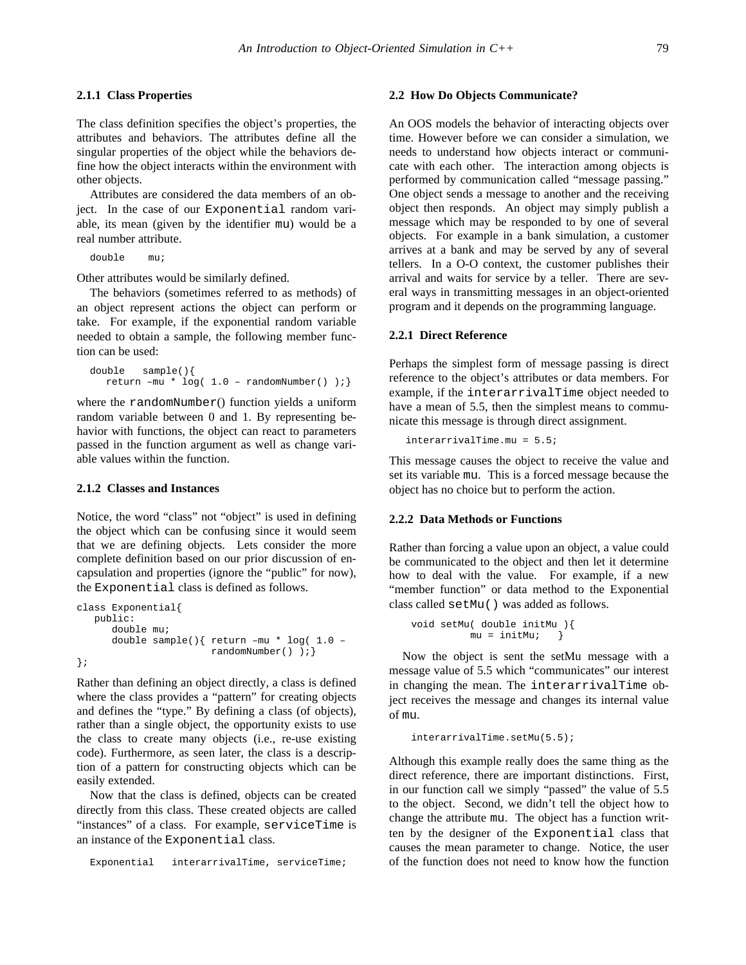### **2.1.1 Class Properties**

The class definition specifies the object's properties, the attributes and behaviors. The attributes define all the singular properties of the object while the behaviors define how the object interacts within the environment with other objects.

Attributes are considered the data members of an object. In the case of our Exponential random variable, its mean (given by the identifier mu) would be a real number attribute.

double mu;

Other attributes would be similarly defined.

The behaviors (sometimes referred to as methods) of an object represent actions the object can perform or take. For example, if the exponential random variable needed to obtain a sample, the following member function can be used:

```
double sample(){
  return –mu * log(1.0 - randomNumber() ); }
```
where the randomNumber() function yields a uniform random variable between 0 and 1. By representing behavior with functions, the object can react to parameters passed in the function argument as well as change variable values within the function.

### **2.1.2 Classes and Instances**

Notice, the word "class" not "object" is used in defining the object which can be confusing since it would seem that we are defining objects. Lets consider the more complete definition based on our prior discussion of encapsulation and properties (ignore the "public" for now), the Exponential class is defined as follows.

```
class Exponential{
   public:
       double mu;
       double sample(){ return –mu * log( 1.0 –
                         randomNumber() );}
};
```
Rather than defining an object directly, a class is defined where the class provides a "pattern" for creating objects and defines the "type." By defining a class (of objects), rather than a single object, the opportunity exists to use the class to create many objects (i.e., re-use existing code). Furthermore, as seen later, the class is a description of a pattern for constructing objects which can be easily extended.

Now that the class is defined, objects can be created directly from this class. These created objects are called "instances" of a class. For example, serviceTime is an instance of the Exponential class.

Exponential interarrivalTime, serviceTime;

### **2.2 How Do Objects Communicate?**

An OOS models the behavior of interacting objects over time. However before we can consider a simulation, we needs to understand how objects interact or communicate with each other. The interaction among objects is performed by communication called "message passing." One object sends a message to another and the receiving object then responds. An object may simply publish a message which may be responded to by one of several objects. For example in a bank simulation, a customer arrives at a bank and may be served by any of several tellers. In a O-O context, the customer publishes their arrival and waits for service by a teller. There are several ways in transmitting messages in an object-oriented program and it depends on the programming language.

# **2.2.1 Direct Reference**

Perhaps the simplest form of message passing is direct reference to the object's attributes or data members. For example, if the interarrivalTime object needed to have a mean of 5.5, then the simplest means to communicate this message is through direct assignment.

interarrivalTime.mu = 5.5;

This message causes the object to receive the value and set its variable mu. This is a forced message because the object has no choice but to perform the action.

#### **2.2.2 Data Methods or Functions**

Rather than forcing a value upon an object, a value could be communicated to the object and then let it determine how to deal with the value. For example, if a new "member function" or data method to the Exponential class called setMu() was added as follows.

```
void setMu( double initMu ){
         mu = initMu; }
```
Now the object is sent the setMu message with a message value of 5.5 which "communicates" our interest in changing the mean. The interarrivalTime object receives the message and changes its internal value of mu.

interarrivalTime.setMu(5.5);

Although this example really does the same thing as the direct reference, there are important distinctions. First, in our function call we simply "passed" the value of 5.5 to the object. Second, we didn't tell the object how to change the attribute mu. The object has a function written by the designer of the Exponential class that causes the mean parameter to change. Notice, the user of the function does not need to know how the function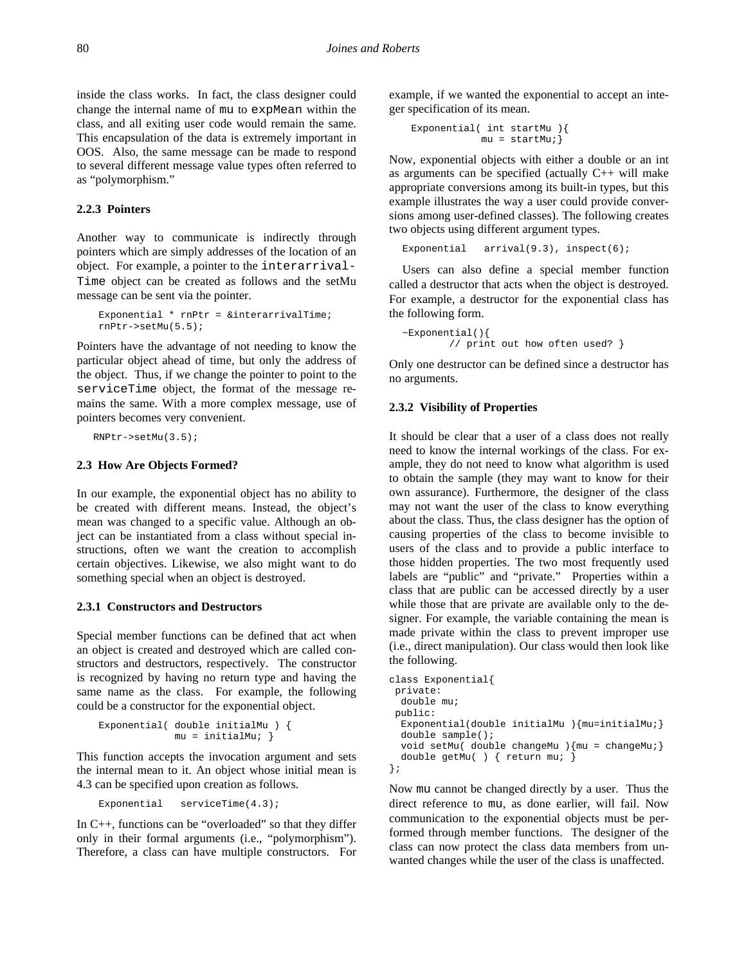inside the class works. In fact, the class designer could change the internal name of mu to expMean within the class, and all exiting user code would remain the same. This encapsulation of the data is extremely important in OOS. Also, the same message can be made to respond to several different message value types often referred to as "polymorphism."

## **2.2.3 Pointers**

Another way to communicate is indirectly through pointers which are simply addresses of the location of an object. For example, a pointer to the interarrival-Time object can be created as follows and the setMu message can be sent via the pointer.

Exponential \* rnPtr = &interarrivalTime; rnPtr->setMu(5.5);

Pointers have the advantage of not needing to know the particular object ahead of time, but only the address of the object. Thus, if we change the pointer to point to the serviceTime object, the format of the message remains the same. With a more complex message, use of pointers becomes very convenient.

RNPtr->setMu(3.5);

## **2.3 How Are Objects Formed?**

In our example, the exponential object has no ability to be created with different means. Instead, the object's mean was changed to a specific value. Although an object can be instantiated from a class without special instructions, often we want the creation to accomplish certain objectives. Likewise, we also might want to do something special when an object is destroyed.

### **2.3.1 Constructors and Destructors**

Special member functions can be defined that act when an object is created and destroyed which are called constructors and destructors, respectively. The constructor is recognized by having no return type and having the same name as the class. For example, the following could be a constructor for the exponential object.

```
Exponential( double initialMu ) {
             mu = initialMui }
```
This function accepts the invocation argument and sets the internal mean to it. An object whose initial mean is 4.3 can be specified upon creation as follows.

```
Exponential serviceTime(4.3);
```
In C++, functions can be "overloaded" so that they differ only in their formal arguments (i.e., "polymorphism"). Therefore, a class can have multiple constructors. For

example, if we wanted the exponential to accept an integer specification of its mean.

```
Exponential( int startMu ){
           mu = startMu;
```
Now, exponential objects with either a double or an int as arguments can be specified (actually  $C_{++}$  will make appropriate conversions among its built-in types, but this example illustrates the way a user could provide conversions among user-defined classes). The following creates two objects using different argument types.

```
Exponential arivial(9.3), inspect(6);
```
Users can also define a special member function called a destructor that acts when the object is destroyed. For example, a destructor for the exponential class has the following form.

```
~Exponential(){
         // print out how often used? }
```
Only one destructor can be defined since a destructor has no arguments.

## **2.3.2 Visibility of Properties**

It should be clear that a user of a class does not really need to know the internal workings of the class. For example, they do not need to know what algorithm is used to obtain the sample (they may want to know for their own assurance). Furthermore, the designer of the class may not want the user of the class to know everything about the class. Thus, the class designer has the option of causing properties of the class to become invisible to users of the class and to provide a public interface to those hidden properties. The two most frequently used labels are "public" and "private." Properties within a class that are public can be accessed directly by a user while those that are private are available only to the designer. For example, the variable containing the mean is made private within the class to prevent improper use (i.e., direct manipulation). Our class would then look like the following.

```
class Exponential{
private:
   double mu;
 public:
   Exponential(double initialMu ){mu=initialMu;}
   double sample();
   void setMu( double changeMu ){mu = changeMu;}
   double getMu( ) { return mu; }
};
```
Now mu cannot be changed directly by a user. Thus the direct reference to mu, as done earlier, will fail. Now communication to the exponential objects must be performed through member functions. The designer of the class can now protect the class data members from unwanted changes while the user of the class is unaffected.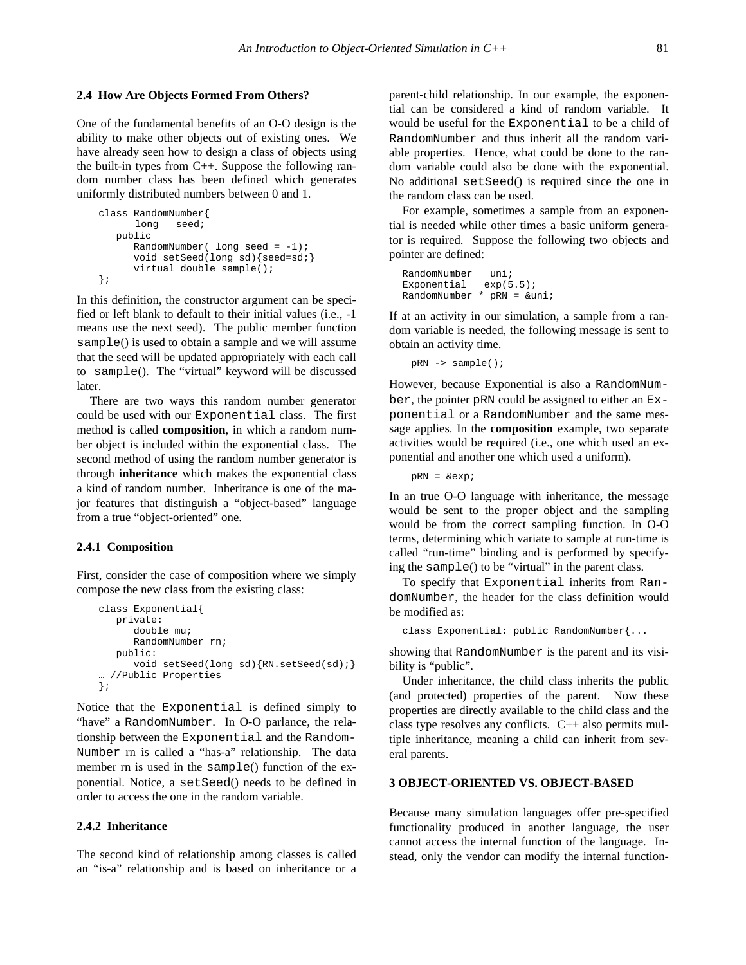### **2.4 How Are Objects Formed From Others?**

One of the fundamental benefits of an O-O design is the ability to make other objects out of existing ones. We have already seen how to design a class of objects using the built-in types from C++. Suppose the following random number class has been defined which generates uniformly distributed numbers between 0 and 1.

```
class RandomNumber{
      long seed;
   public
      RandomNumber( long seed = -1);
       void setSeed(long sd){seed=sd;}
       virtual double sample();
};
```
In this definition, the constructor argument can be specified or left blank to default to their initial values (i.e., -1 means use the next seed). The public member function sample() is used to obtain a sample and we will assume that the seed will be updated appropriately with each call to sample(). The "virtual" keyword will be discussed later.

There are two ways this random number generator could be used with our Exponential class. The first method is called **composition**, in which a random number object is included within the exponential class. The second method of using the random number generator is through **inheritance** which makes the exponential class a kind of random number. Inheritance is one of the major features that distinguish a "object-based" language from a true "object-oriented" one.

### **2.4.1 Composition**

First, consider the case of composition where we simply compose the new class from the existing class:

```
class Exponential{
    private:
       double mu;
       RandomNumber rn;
    public:
       void setSeed(long sd){RN.setSeed(sd);}
 … //Public Properties
\bar{\ };
```
Notice that the Exponential is defined simply to "have" a RandomNumber. In O-O parlance, the relationship between the Exponential and the Random-Number rn is called a "has-a" relationship. The data member rn is used in the sample() function of the exponential. Notice, a setSeed() needs to be defined in order to access the one in the random variable.

## **2.4.2 Inheritance**

The second kind of relationship among classes is called an "is-a" relationship and is based on inheritance or a

parent-child relationship. In our example, the exponential can be considered a kind of random variable. It would be useful for the Exponential to be a child of RandomNumber and thus inherit all the random variable properties. Hence, what could be done to the random variable could also be done with the exponential. No additional setSeed() is required since the one in the random class can be used.

For example, sometimes a sample from an exponential is needed while other times a basic uniform generator is required. Suppose the following two objects and pointer are defined:

```
RandomNumber uni;
Exponential exp(5.5);
RandomNumber * pRN = &uni;
```
If at an activity in our simulation, a sample from a random variable is needed, the following message is sent to obtain an activity time.

```
pRN -> sample();
```
However, because Exponential is also a RandomNumber, the pointer pRN could be assigned to either an Exponential or a RandomNumber and the same message applies. In the **composition** example, two separate activities would be required (i.e., one which used an exponential and another one which used a uniform).

pRN = &exp;

In an true O-O language with inheritance, the message would be sent to the proper object and the sampling would be from the correct sampling function. In O-O terms, determining which variate to sample at run-time is called "run-time" binding and is performed by specifying the sample() to be "virtual" in the parent class.

To specify that Exponential inherits from RandomNumber, the header for the class definition would be modified as:

class Exponential: public RandomNumber{...

showing that RandomNumber is the parent and its visibility is "public".

Under inheritance, the child class inherits the public (and protected) properties of the parent. Now these properties are directly available to the child class and the class type resolves any conflicts. C++ also permits multiple inheritance, meaning a child can inherit from several parents.

## **3 OBJECT-ORIENTED VS. OBJECT-BASED**

Because many simulation languages offer pre-specified functionality produced in another language, the user cannot access the internal function of the language. Instead, only the vendor can modify the internal function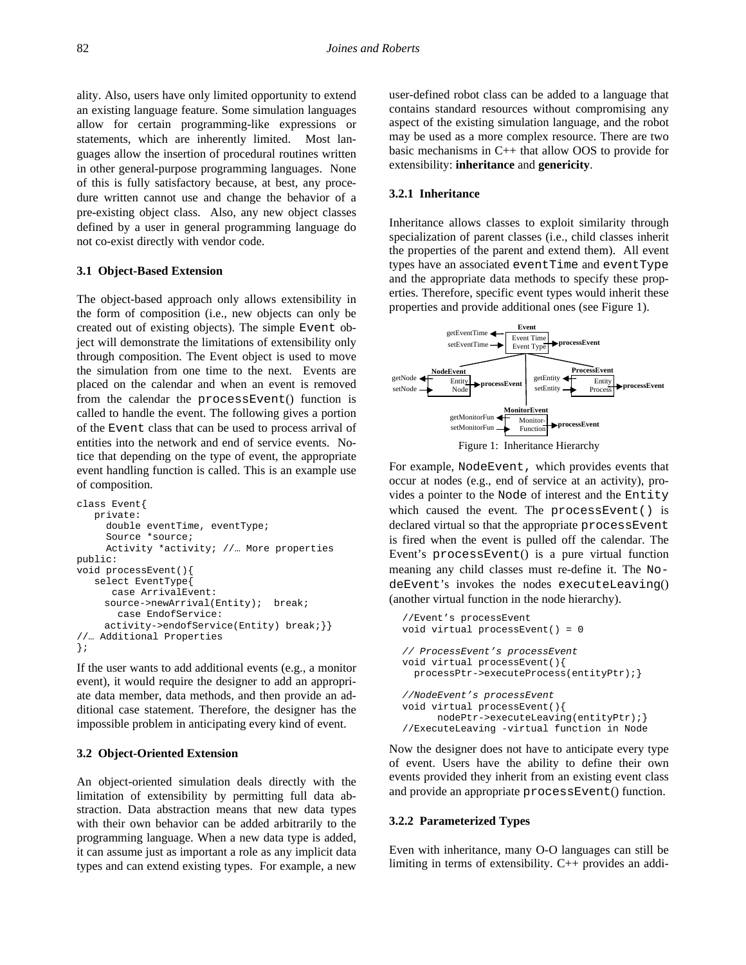ality. Also, users have only limited opportunity to extend an existing language feature. Some simulation languages allow for certain programming-like expressions or statements, which are inherently limited. Most languages allow the insertion of procedural routines written in other general-purpose programming languages. None of this is fully satisfactory because, at best, any procedure written cannot use and change the behavior of a pre-existing object class. Also, any new object classes defined by a user in general programming language do not co-exist directly with vendor code.

### **3.1 Object-Based Extension**

The object-based approach only allows extensibility in the form of composition (i.e., new objects can only be created out of existing objects). The simple Event object will demonstrate the limitations of extensibility only through composition. The Event object is used to move the simulation from one time to the next. Events are placed on the calendar and when an event is removed from the calendar the processEvent() function is called to handle the event. The following gives a portion of the Event class that can be used to process arrival of entities into the network and end of service events. Notice that depending on the type of event, the appropriate event handling function is called. This is an example use of composition.

```
class Event{
   private:
      double eventTime, eventType;
      Source *source;
      Activity *activity; //… More properties
public:
void processEvent(){
    select EventType{
       case ArrivalEvent:
     source->newArrival(Entity); break;
        case EndofService:
    activity->endofService(Entity) break;}}
//… Additional Properties
};
```
If the user wants to add additional events (e.g., a monitor event), it would require the designer to add an appropriate data member, data methods, and then provide an additional case statement. Therefore, the designer has the impossible problem in anticipating every kind of event.

# **3.2 Object-Oriented Extension**

An object-oriented simulation deals directly with the limitation of extensibility by permitting full data abstraction. Data abstraction means that new data types with their own behavior can be added arbitrarily to the programming language. When a new data type is added, it can assume just as important a role as any implicit data types and can extend existing types. For example, a new

user-defined robot class can be added to a language that contains standard resources without compromising any aspect of the existing simulation language, and the robot may be used as a more complex resource. There are two basic mechanisms in C++ that allow OOS to provide for extensibility: **inheritance** and **genericity**.

# **3.2.1 Inheritance**

Inheritance allows classes to exploit similarity through specialization of parent classes (i.e., child classes inherit the properties of the parent and extend them). All event types have an associated eventTime and eventType and the appropriate data methods to specify these properties. Therefore, specific event types would inherit these properties and provide additional ones (see Figure 1).



Figure 1: Inheritance Hierarchy

For example, NodeEvent, which provides events that occur at nodes (e.g., end of service at an activity), provides a pointer to the Node of interest and the Entity which caused the event. The processEvent() is declared virtual so that the appropriate processEvent is fired when the event is pulled off the calendar. The Event's processEvent() is a pure virtual function meaning any child classes must re-define it. The NodeEvent's invokes the nodes executeLeaving() (another virtual function in the node hierarchy).

```
//Event's processEvent
void virtual processEvent() = 0
// ProcessEvent's processEvent
void virtual processEvent(){
  processPtr->executeProcess(entityPtr);}
//NodeEvent's processEvent
void virtual processEvent(){
      nodePtr->executeLeaving(entityPtr);}
//ExecuteLeaving -virtual function in Node
```
Now the designer does not have to anticipate every type of event. Users have the ability to define their own events provided they inherit from an existing event class and provide an appropriate processEvent() function.

### **3.2.2 Parameterized Types**

Even with inheritance, many O-O languages can still be limiting in terms of extensibility. C++ provides an addi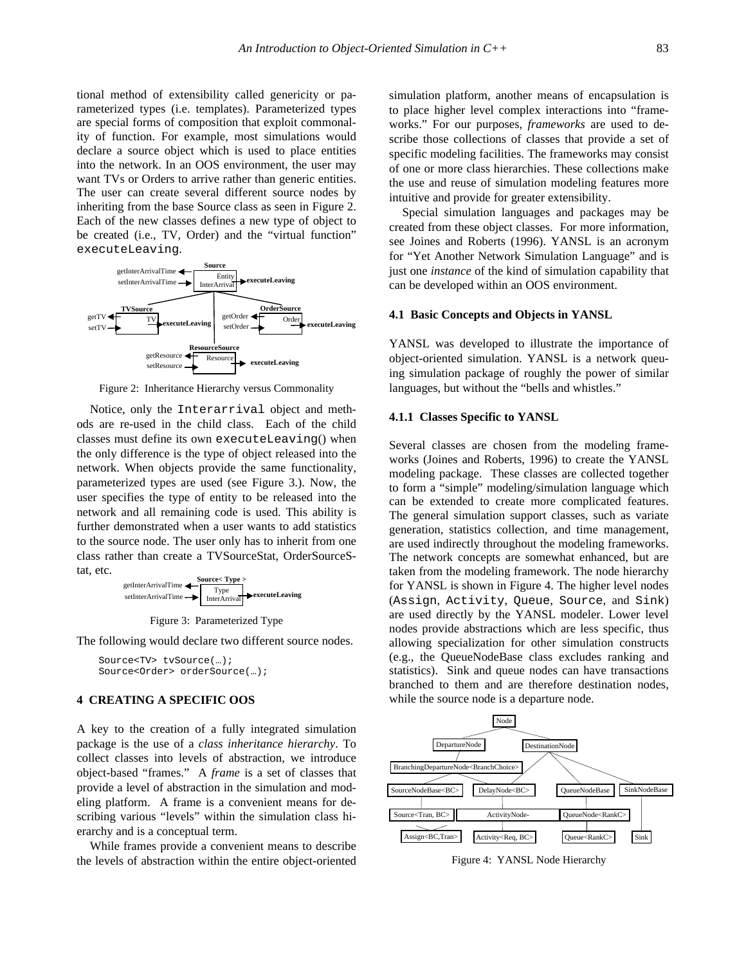tional method of extensibility called genericity or parameterized types (i.e. templates). Parameterized types are special forms of composition that exploit commonality of function. For example, most simulations would declare a source object which is used to place entities into the network. In an OOS environment, the user may want TVs or Orders to arrive rather than generic entities. The user can create several different source nodes by inheriting from the base Source class as seen in Figure 2. Each of the new classes defines a new type of object to be created (i.e., TV, Order) and the "virtual function" executeLeaving.



Figure 2: Inheritance Hierarchy versus Commonality

Notice, only the Interarrival object and methods are re-used in the child class. Each of the child classes must define its own executeLeaving() when the only difference is the type of object released into the network. When objects provide the same functionality, parameterized types are used (see Figure 3.). Now, the user specifies the type of entity to be released into the network and all remaining code is used. This ability is further demonstrated when a user wants to add statistics to the source node. The user only has to inherit from one class rather than create a TVSourceStat, OrderSourceStat, etc.



Figure 3: Parameterized Type

The following would declare two different source nodes.

```
Source<TV> tvSource(…);
Source<Order> orderSource(…);
```
### **4 CREATING A SPECIFIC OOS**

A key to the creation of a fully integrated simulation package is the use of a *class inheritance hierarchy*. To collect classes into levels of abstraction, we introduce object-based "frames." A *frame* is a set of classes that provide a level of abstraction in the simulation and modeling platform. A frame is a convenient means for describing various "levels" within the simulation class hierarchy and is a conceptual term.

While frames provide a convenient means to describe the levels of abstraction within the entire object-oriented

simulation platform, another means of encapsulation is to place higher level complex interactions into "frameworks." For our purposes, *frameworks* are used to describe those collections of classes that provide a set of specific modeling facilities. The frameworks may consist of one or more class hierarchies. These collections make the use and reuse of simulation modeling features more intuitive and provide for greater extensibility.

Special simulation languages and packages may be created from these object classes. For more information, see Joines and Roberts (1996). YANSL is an acronym for "Yet Another Network Simulation Language" and is just one *instance* of the kind of simulation capability that can be developed within an OOS environment.

### **4.1 Basic Concepts and Objects in YANSL**

YANSL was developed to illustrate the importance of object-oriented simulation. YANSL is a network queuing simulation package of roughly the power of similar languages, but without the "bells and whistles."

#### **4.1.1 Classes Specific to YANSL**

Several classes are chosen from the modeling frameworks (Joines and Roberts, 1996) to create the YANSL modeling package. These classes are collected together to form a "simple" modeling/simulation language which can be extended to create more complicated features. The general simulation support classes, such as variate generation, statistics collection, and time management, are used indirectly throughout the modeling frameworks. The network concepts are somewhat enhanced, but are taken from the modeling framework. The node hierarchy for YANSL is shown in Figure 4. The higher level nodes (Assign, Activity, Queue, Source, and Sink) are used directly by the YANSL modeler. Lower level nodes provide abstractions which are less specific, thus allowing specialization for other simulation constructs (e.g., the QueueNodeBase class excludes ranking and statistics). Sink and queue nodes can have transactions branched to them and are therefore destination nodes, while the source node is a departure node.



Figure 4: YANSL Node Hierarchy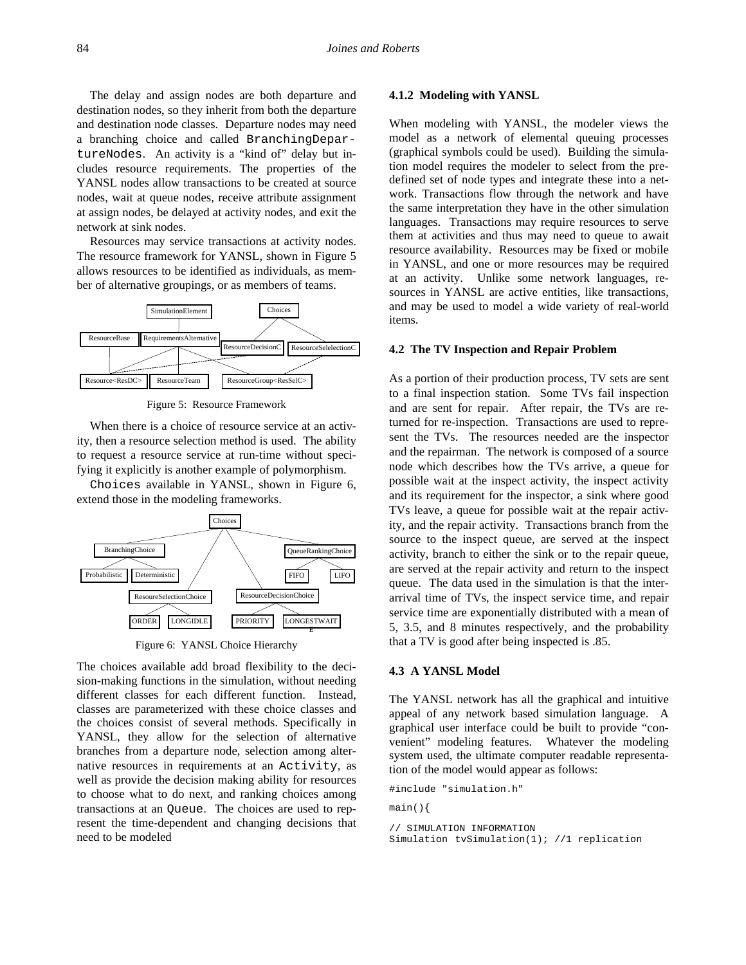The delay and assign nodes are both departure and destination nodes, so they inherit from both the departure and destination node classes. Departure nodes may need a branching choice and called BranchingDepartureNodes. An activity is a "kind of" delay but includes resource requirements. The properties of the YANSL nodes allow transactions to be created at source nodes, wait at queue nodes, receive attribute assignment at assign nodes, be delayed at activity nodes, and exit the network at sink nodes.

Resources may service transactions at activity nodes. The resource framework for YANSL, shown in Figure 5 allows resources to be identified as individuals, as member of alternative groupings, or as members of teams.



Figure 5: Resource Framework

When there is a choice of resource service at an activity, then a resource selection method is used. The ability to request a resource service at run-time without specifying it explicitly is another example of polymorphism.

Choices available in YANSL, shown in Figure 6, extend those in the modeling frameworks.



Figure 6: YANSL Choice Hierarchy

The choices available add broad flexibility to the decision-making functions in the simulation, without needing different classes for each different function. Instead, classes are parameterized with these choice classes and the choices consist of several methods. Specifically in YANSL, they allow for the selection of alternative branches from a departure node, selection among alternative resources in requirements at an Activity, as well as provide the decision making ability for resources to choose what to do next, and ranking choices among transactions at an Queue. The choices are used to represent the time-dependent and changing decisions that need to be modeled

#### **4.1.2 Modeling with YANSL**

When modeling with YANSL, the modeler views the model as a network of elemental queuing processes (graphical symbols could be used). Building the simulation model requires the modeler to select from the predefined set of node types and integrate these into a network. Transactions flow through the network and have the same interpretation they have in the other simulation languages. Transactions may require resources to serve them at activities and thus may need to queue to await resource availability. Resources may be fixed or mobile in YANSL, and one or more resources may be required at an activity. Unlike some network languages, resources in YANSL are active entities, like transactions, and may be used to model a wide variety of real-world items.

### **4.2 The TV Inspection and Repair Problem**

As a portion of their production process, TV sets are sent to a final inspection station. Some TVs fail inspection and are sent for repair. After repair, the TVs are returned for re-inspection. Transactions are used to represent the TVs. The resources needed are the inspector and the repairman. The network is composed of a source node which describes how the TVs arrive, a queue for possible wait at the inspect activity, the inspect activity and its requirement for the inspector, a sink where good TVs leave, a queue for possible wait at the repair activity, and the repair activity. Transactions branch from the source to the inspect queue, are served at the inspect activity, branch to either the sink or to the repair queue, are served at the repair activity and return to the inspect queue. The data used in the simulation is that the interarrival time of TVs, the inspect service time, and repair service time are exponentially distributed with a mean of 5, 3.5, and 8 minutes respectively, and the probability that a TV is good after being inspected is .85.

### **4.3 A YANSL Model**

The YANSL network has all the graphical and intuitive appeal of any network based simulation language. A graphical user interface could be built to provide "convenient" modeling features. Whatever the modeling system used, the ultimate computer readable representation of the model would appear as follows:

#include "simulation.h"

main(){

```
// SIMULATION INFORMATION
Simulation tvSimulation(1); //1 replication
```